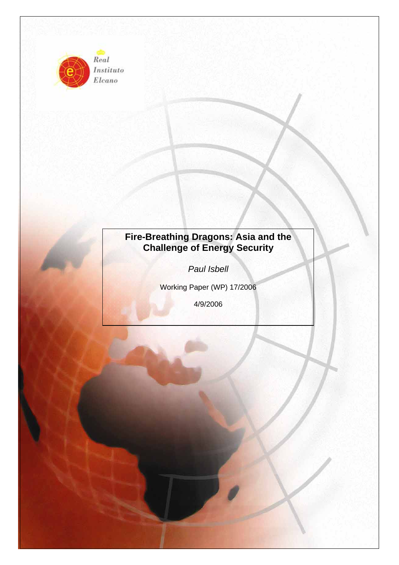

Instituto Elcano

# **Fire-Breathing Dragons: Asia and the Challenge of Energy Security**

*Paul Isbell* 

Working Paper (WP) 17/2006

4/9/2006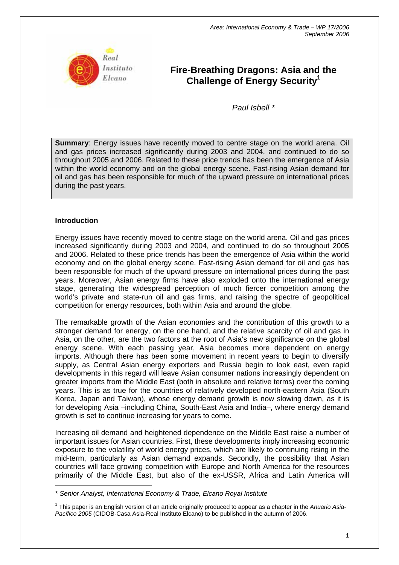

## **Fire-Breathing Dragons: Asia and the Challenge of Energy Security1**

*Paul Isbell \** 

**Summary**: Energy issues have recently moved to centre stage on the world arena. Oil and gas prices increased significantly during 2003 and 2004, and continued to do so throughout 2005 and 2006. Related to these price trends has been the emergence of Asia within the world economy and on the global energy scene. Fast-rising Asian demand for oil and gas has been responsible for much of the upward pressure on international prices during the past years.

## **Introduction**

 $\overline{a}$ 

Energy issues have recently moved to centre stage on the world arena. Oil and gas prices increased significantly during 2003 and 2004, and continued to do so throughout 2005 and 2006. Related to these price trends has been the emergence of Asia within the world economy and on the global energy scene. Fast-rising Asian demand for oil and gas has been responsible for much of the upward pressure on international prices during the past years. Moreover, Asian energy firms have also exploded onto the international energy stage, generating the widespread perception of much fiercer competition among the world's private and state-run oil and gas firms, and raising the spectre of geopolitical competition for energy resources, both within Asia and around the globe.

The remarkable growth of the Asian economies and the contribution of this growth to a stronger demand for energy, on the one hand, and the relative scarcity of oil and gas in Asia, on the other, are the two factors at the root of Asia's new significance on the global energy scene. With each passing year, Asia becomes more dependent on energy imports. Although there has been some movement in recent years to begin to diversify supply, as Central Asian energy exporters and Russia begin to look east, even rapid developments in this regard will leave Asian consumer nations increasingly dependent on greater imports from the Middle East (both in absolute and relative terms) over the coming years. This is as true for the countries of relatively developed north-eastern Asia (South Korea, Japan and Taiwan), whose energy demand growth is now slowing down, as it is for developing Asia –including China, South-East Asia and India–, where energy demand growth is set to continue increasing for years to come.

Increasing oil demand and heightened dependence on the Middle East raise a number of important issues for Asian countries. First, these developments imply increasing economic exposure to the volatility of world energy prices, which are likely to continuing rising in the mid-term, particularly as Asian demand expands. Secondly, the possibility that Asian countries will face growing competition with Europe and North America for the resources primarily of the Middle East, but also of the ex-USSR, Africa and Latin America will

*<sup>\*</sup> Senior Analyst, International Economy & Trade, Elcano Royal Institute* 

<sup>1</sup> This paper is an English version of an article originally produced to appear as a chapter in the *Anuario Asia-Pacífico 2005* (CIDOB-Casa Asia-Real Instituto Elcano) to be published in the autumn of 2006.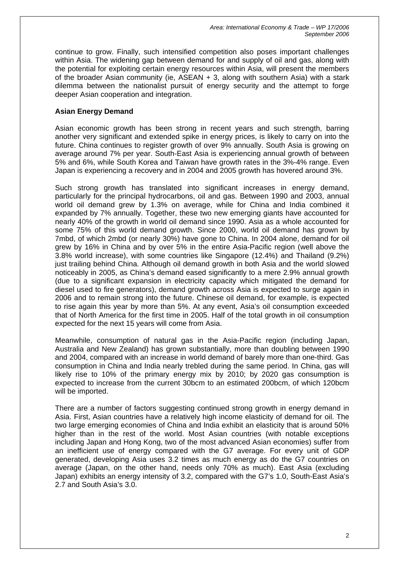continue to grow. Finally, such intensified competition also poses important challenges within Asia. The widening gap between demand for and supply of oil and gas, along with the potential for exploiting certain energy resources within Asia, will present the members of the broader Asian community (ie, ASEAN + 3, along with southern Asia) with a stark dilemma between the nationalist pursuit of energy security and the attempt to forge deeper Asian cooperation and integration.

## **Asian Energy Demand**

Asian economic growth has been strong in recent years and such strength, barring another very significant and extended spike in energy prices, is likely to carry on into the future. China continues to register growth of over 9% annually. South Asia is growing on average around 7% per year. South-East Asia is experiencing annual growth of between 5% and 6%, while South Korea and Taiwan have growth rates in the 3%-4% range. Even Japan is experiencing a recovery and in 2004 and 2005 growth has hovered around 3%.

Such strong growth has translated into significant increases in energy demand, particularly for the principal hydrocarbons, oil and gas. Between 1990 and 2003, annual world oil demand grew by 1.3% on average, while for China and India combined it expanded by 7% annually. Together, these two new emerging giants have accounted for nearly 40% of the growth in world oil demand since 1990. Asia as a whole accounted for some 75% of this world demand growth. Since 2000, world oil demand has grown by 7mbd, of which 2mbd (or nearly 30%) have gone to China. In 2004 alone, demand for oil grew by 16% in China and by over 5% in the entire Asia-Pacific region (well above the 3.8% world increase), with some countries like Singapore (12.4%) and Thailand (9.2%) just trailing behind China. Although oil demand growth in both Asia and the world slowed noticeably in 2005, as China's demand eased significantly to a mere 2.9% annual growth (due to a significant expansion in electricity capacity which mitigated the demand for diesel used to fire generators), demand growth across Asia is expected to surge again in 2006 and to remain strong into the future. Chinese oil demand, for example, is expected to rise again this year by more than 5%. At any event, Asia's oil consumption exceeded that of North America for the first time in 2005. Half of the total growth in oil consumption expected for the next 15 years will come from Asia.

Meanwhile, consumption of natural gas in the Asia-Pacific region (including Japan, Australia and New Zealand) has grown substantially, more than doubling between 1990 and 2004, compared with an increase in world demand of barely more than one-third. Gas consumption in China and India nearly trebled during the same period. In China, gas will likely rise to 10% of the primary energy mix by 2010; by 2020 gas consumption is expected to increase from the current 30bcm to an estimated 200bcm, of which 120bcm will be imported.

There are a number of factors suggesting continued strong growth in energy demand in Asia. First, Asian countries have a relatively high income elasticity of demand for oil. The two large emerging economies of China and India exhibit an elasticity that is around 50% higher than in the rest of the world. Most Asian countries (with notable exceptions including Japan and Hong Kong, two of the most advanced Asian economies) suffer from an inefficient use of energy compared with the G7 average. For every unit of GDP generated, developing Asia uses 3.2 times as much energy as do the G7 countries on average (Japan, on the other hand, needs only 70% as much). East Asia (excluding Japan) exhibits an energy intensity of 3.2, compared with the G7's 1.0, South-East Asia's 2.7 and South Asia's 3.0.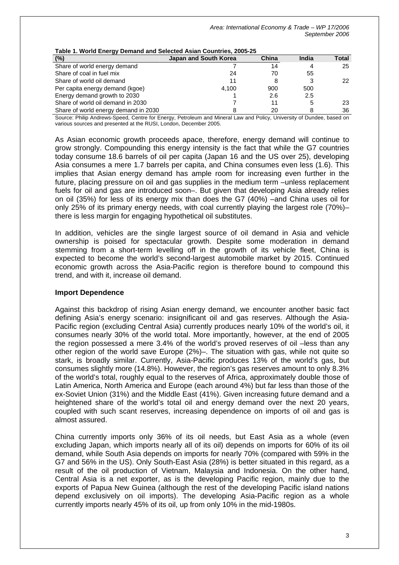| Table 1. World Energy Demand and Selected Asian Countries, 2005-25 |  |  |  |  |  |  |  |  |  |
|--------------------------------------------------------------------|--|--|--|--|--|--|--|--|--|
| Total                                                              |  |  |  |  |  |  |  |  |  |
| 25                                                                 |  |  |  |  |  |  |  |  |  |
|                                                                    |  |  |  |  |  |  |  |  |  |
| 22                                                                 |  |  |  |  |  |  |  |  |  |
|                                                                    |  |  |  |  |  |  |  |  |  |
|                                                                    |  |  |  |  |  |  |  |  |  |
| 23                                                                 |  |  |  |  |  |  |  |  |  |
| 36                                                                 |  |  |  |  |  |  |  |  |  |
|                                                                    |  |  |  |  |  |  |  |  |  |

**Table 1. World Energy Demand and Selected Asian Countries, 2005-25** 

Source: Philip Andrews-Speed, Centre for Energy, Petroleum and Mineral Law and Policy, University of Dundee, based on various sources and presented at the RUSI, London, December 2005.

As Asian economic growth proceeds apace, therefore, energy demand will continue to grow strongly. Compounding this energy intensity is the fact that while the G7 countries today consume 18.6 barrels of oil per capita (Japan 16 and the US over 25), developing Asia consumes a mere 1.7 barrels per capita, and China consumes even less (1.6). This implies that Asian energy demand has ample room for increasing even further in the future, placing pressure on oil and gas supplies in the medium term –unless replacement fuels for oil and gas are introduced soon–. But given that developing Asia already relies on oil (35%) for less of its energy mix than does the G7 (40%) –and China uses oil for only 25% of its primary energy needs, with coal currently playing the largest role (70%)– there is less margin for engaging hypothetical oil substitutes.

In addition, vehicles are the single largest source of oil demand in Asia and vehicle ownership is poised for spectacular growth. Despite some moderation in demand stemming from a short-term levelling off in the growth of its vehicle fleet, China is expected to become the world's second-largest automobile market by 2015. Continued economic growth across the Asia-Pacific region is therefore bound to compound this trend, and with it, increase oil demand.

#### **Import Dependence**

Against this backdrop of rising Asian energy demand, we encounter another basic fact defining Asia's energy scenario: insignificant oil and gas reserves. Although the Asia-Pacific region (excluding Central Asia) currently produces nearly 10% of the world's oil, it consumes nearly 30% of the world total. More importantly, however, at the end of 2005 the region possessed a mere 3.4% of the world's proved reserves of oil –less than any other region of the world save Europe (2%)–. The situation with gas, while not quite so stark, is broadly similar. Currently, Asia-Pacific produces 13% of the world's gas, but consumes slightly more (14.8%). However, the region's gas reserves amount to only 8.3% of the world's total, roughly equal to the reserves of Africa, approximately double those of Latin America, North America and Europe (each around 4%) but far less than those of the ex-Soviet Union (31%) and the Middle East (41%). Given increasing future demand and a heightened share of the world's total oil and energy demand over the next 20 years, coupled with such scant reserves, increasing dependence on imports of oil and gas is almost assured.

China currently imports only 36% of its oil needs, but East Asia as a whole (even excluding Japan, which imports nearly all of its oil) depends on imports for 60% of its oil demand, while South Asia depends on imports for nearly 70% (compared with 59% in the G7 and 56% in the US). Only South-East Asia (28%) is better situated in this regard, as a result of the oil production of Vietnam, Malaysia and Indonesia. On the other hand, Central Asia is a net exporter, as is the developing Pacific region, mainly due to the exports of Papua New Guinea (although the rest of the developing Pacific island nations depend exclusively on oil imports). The developing Asia-Pacific region as a whole currently imports nearly 45% of its oil, up from only 10% in the mid-1980s.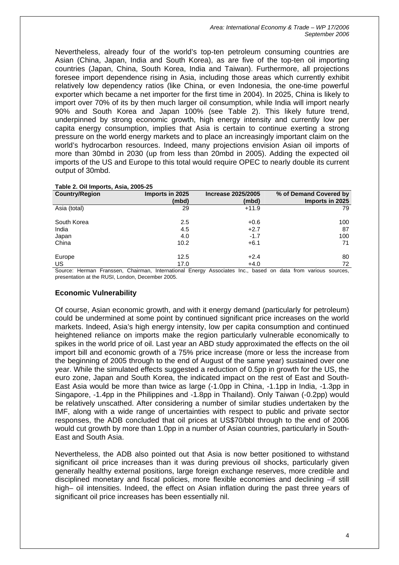*Area: International Economy & Trade – WP 17/2006 September 2006* 

Nevertheless, already four of the world's top-ten petroleum consuming countries are Asian (China, Japan, India and South Korea), as are five of the top-ten oil importing countries (Japan, China, South Korea, India and Taiwan). Furthermore, all projections foresee import dependence rising in Asia, including those areas which currently exhibit relatively low dependency ratios (like China, or even Indonesia, the one-time powerful exporter which became a net importer for the first time in 2004). In 2025, China is likely to import over 70% of its by then much larger oil consumption, while India will import nearly 90% and South Korea and Japan 100% (see Table 2). This likely future trend, underpinned by strong economic growth, high energy intensity and currently low per capita energy consumption, implies that Asia is certain to continue exerting a strong pressure on the world energy markets and to place an increasingly important claim on the world's hydrocarbon resources. Indeed, many projections envision Asian oil imports of more than 30mbd in 2030 (up from less than 20mbd in 2005). Adding the expected oil imports of the US and Europe to this total would require OPEC to nearly double its current output of 30mbd.

| $\cdots$ , $\cdots$ , $\cdots$ , $\cdots$ , $\cdots$ , $\cdots$ |                          |                                    |                                           |  |  |  |  |
|-----------------------------------------------------------------|--------------------------|------------------------------------|-------------------------------------------|--|--|--|--|
| <b>Country/Region</b>                                           | Imports in 2025<br>(mbd) | <b>Increase 2025/2005</b><br>(mbd) | % of Demand Covered by<br>Imports in 2025 |  |  |  |  |
| Asia (total)                                                    | 29                       | $+11.9$                            | 79                                        |  |  |  |  |
| South Korea                                                     | 2.5                      | $+0.6$                             | 100                                       |  |  |  |  |
| India                                                           | 4.5                      | $+2.7$                             | 87                                        |  |  |  |  |
| Japan                                                           | 4.0                      | $-1.7$                             | 100                                       |  |  |  |  |
| China                                                           | 10.2                     | $+6.1$                             | 71                                        |  |  |  |  |
| Europe                                                          | 12.5                     | $+2.4$                             | 80                                        |  |  |  |  |
| US                                                              | 17.0                     | $+4.0$                             | 72                                        |  |  |  |  |
| $\sim$ $\sim$ $\sim$ $\sim$                                     |                          |                                    |                                           |  |  |  |  |

#### **Table 2. Oil Imports, Asia, 2005-25**

Source: Herman Franssen, Chairman, International Energy Associates Inc., based on data from various sources, presentation at the RUSI, London, December 2005.

#### **Economic Vulnerability**

Of course, Asian economic growth, and with it energy demand (particularly for petroleum) could be undermined at some point by continued significant price increases on the world markets. Indeed, Asia's high energy intensity, low per capita consumption and continued heightened reliance on imports make the region particularly vulnerable economically to spikes in the world price of oil. Last year an ABD study approximated the effects on the oil import bill and economic growth of a 75% price increase (more or less the increase from the beginning of 2005 through to the end of August of the same year) sustained over one year. While the simulated effects suggested a reduction of 0.5pp in growth for the US, the euro zone, Japan and South Korea, the indicated impact on the rest of East and South-East Asia would be more than twice as large (-1.0pp in China, -1.1pp in India, -1.3pp in Singapore, -1.4pp in the Philippines and -1.8pp in Thailand). Only Taiwan (-0.2pp) would be relatively unscathed. After considering a number of similar studies undertaken by the IMF, along with a wide range of uncertainties with respect to public and private sector responses, the ADB concluded that oil prices at US\$70/bbl through to the end of 2006 would cut growth by more than 1.0pp in a number of Asian countries, particularly in South-East and South Asia.

Nevertheless, the ADB also pointed out that Asia is now better positioned to withstand significant oil price increases than it was during previous oil shocks, particularly given generally healthy external positions, large foreign exchange reserves, more credible and disciplined monetary and fiscal policies, more flexible economies and declining –if still high– oil intensities. Indeed, the effect on Asian inflation during the past three years of significant oil price increases has been essentially nil.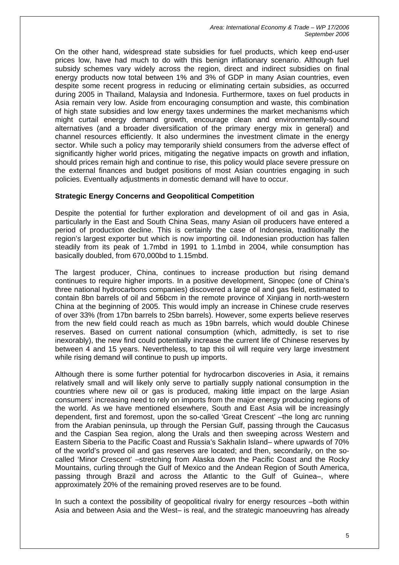On the other hand, widespread state subsidies for fuel products, which keep end-user prices low, have had much to do with this benign inflationary scenario. Although fuel subsidy schemes vary widely across the region, direct and indirect subsidies on final energy products now total between 1% and 3% of GDP in many Asian countries, even despite some recent progress in reducing or eliminating certain subsidies, as occurred during 2005 in Thailand, Malaysia and Indonesia. Furthermore, taxes on fuel products in Asia remain very low. Aside from encouraging consumption and waste, this combination of high state subsidies and low energy taxes undermines the market mechanisms which might curtail energy demand growth, encourage clean and environmentally-sound alternatives (and a broader diversification of the primary energy mix in general) and channel resources efficiently. It also undermines the investment climate in the energy sector. While such a policy may temporarily shield consumers from the adverse effect of significantly higher world prices, mitigating the negative impacts on growth and inflation, should prices remain high and continue to rise, this policy would place severe pressure on the external finances and budget positions of most Asian countries engaging in such policies. Eventually adjustments in domestic demand will have to occur.

## **Strategic Energy Concerns and Geopolitical Competition**

Despite the potential for further exploration and development of oil and gas in Asia, particularly in the East and South China Seas, many Asian oil producers have entered a period of production decline. This is certainly the case of Indonesia, traditionally the region's largest exporter but which is now importing oil. Indonesian production has fallen steadily from its peak of 1.7mbd in 1991 to 1.1mbd in 2004, while consumption has basically doubled, from 670,000bd to 1.15mbd.

The largest producer, China, continues to increase production but rising demand continues to require higher imports. In a positive development, Sinopec (one of China's three national hydrocarbons companies) discovered a large oil and gas field, estimated to contain 8bn barrels of oil and 56bcm in the remote province of Xinjiang in north-western China at the beginning of 2005. This would imply an increase in Chinese crude reserves of over 33% (from 17bn barrels to 25bn barrels). However, some experts believe reserves from the new field could reach as much as 19bn barrels, which would double Chinese reserves. Based on current national consumption (which, admittedly, is set to rise inexorably), the new find could potentially increase the current life of Chinese reserves by between 4 and 15 years. Nevertheless, to tap this oil will require very large investment while rising demand will continue to push up imports.

Although there is some further potential for hydrocarbon discoveries in Asia, it remains relatively small and will likely only serve to partially supply national consumption in the countries where new oil or gas is produced, making little impact on the large Asian consumers' increasing need to rely on imports from the major energy producing regions of the world. As we have mentioned elsewhere, South and East Asia will be increasingly dependent, first and foremost, upon the so-called 'Great Crescent' –the long arc running from the Arabian peninsula, up through the Persian Gulf, passing through the Caucasus and the Caspian Sea region, along the Urals and then sweeping across Western and Eastern Siberia to the Pacific Coast and Russia's Sakhalin Island– where upwards of 70% of the world's proved oil and gas reserves are located; and then, secondarily, on the socalled 'Minor Crescent' –stretching from Alaska down the Pacific Coast and the Rocky Mountains, curling through the Gulf of Mexico and the Andean Region of South America, passing through Brazil and across the Atlantic to the Gulf of Guinea–, where approximately 20% of the remaining proved reserves are to be found.

In such a context the possibility of geopolitical rivalry for energy resources –both within Asia and between Asia and the West– is real, and the strategic manoeuvring has already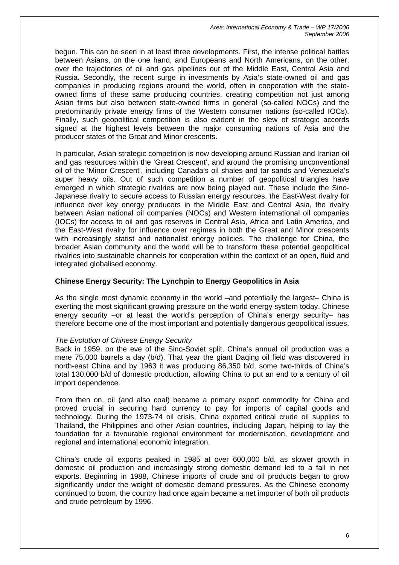begun. This can be seen in at least three developments. First, the intense political battles between Asians, on the one hand, and Europeans and North Americans, on the other, over the trajectories of oil and gas pipelines out of the Middle East, Central Asia and Russia. Secondly, the recent surge in investments by Asia's state-owned oil and gas companies in producing regions around the world, often in cooperation with the stateowned firms of these same producing countries, creating competition not just among Asian firms but also between state-owned firms in general (so-called NOCs) and the predominantly private energy firms of the Western consumer nations (so-called IOCs). Finally, such geopolitical competition is also evident in the slew of strategic accords signed at the highest levels between the major consuming nations of Asia and the producer states of the Great and Minor crescents.

In particular, Asian strategic competition is now developing around Russian and Iranian oil and gas resources within the 'Great Crescent', and around the promising unconventional oil of the 'Minor Crescent', including Canada's oil shales and tar sands and Venezuela's super heavy oils. Out of such competition a number of geopolitical triangles have emerged in which strategic rivalries are now being played out. These include the Sino-Japanese rivalry to secure access to Russian energy resources, the East-West rivalry for influence over key energy producers in the Middle East and Central Asia, the rivalry between Asian national oil companies (NOCs) and Western international oil companies (IOCs) for access to oil and gas reserves in Central Asia, Africa and Latin America, and the East-West rivalry for influence over regimes in both the Great and Minor crescents with increasingly statist and nationalist energy policies. The challenge for China, the broader Asian community and the world will be to transform these potential geopolitical rivalries into sustainable channels for cooperation within the context of an open, fluid and integrated globalised economy.

## **Chinese Energy Security: The Lynchpin to Energy Geopolitics in Asia**

As the single most dynamic economy in the world –and potentially the largest– China is exerting the most significant growing pressure on the world energy system today. Chinese energy security –or at least the world's perception of China's energy security– has therefore become one of the most important and potentially dangerous geopolitical issues.

## *The Evolution of Chinese Energy Security*

Back in 1959, on the eve of the Sino-Soviet split, China's annual oil production was a mere 75,000 barrels a day (b/d). That year the giant Daqing oil field was discovered in north-east China and by 1963 it was producing 86,350 b/d, some two-thirds of China's total 130,000 b/d of domestic production, allowing China to put an end to a century of oil import dependence.

From then on, oil (and also coal) became a primary export commodity for China and proved crucial in securing hard currency to pay for imports of capital goods and technology. During the 1973-74 oil crisis, China exported critical crude oil supplies to Thailand, the Philippines and other Asian countries, including Japan, helping to lay the foundation for a favourable regional environment for modernisation, development and regional and international economic integration.

China's crude oil exports peaked in 1985 at over 600,000 b/d, as slower growth in domestic oil production and increasingly strong domestic demand led to a fall in net exports. Beginning in 1988, Chinese imports of crude and oil products began to grow significantly under the weight of domestic demand pressures. As the Chinese economy continued to boom, the country had once again became a net importer of both oil products and crude petroleum by 1996.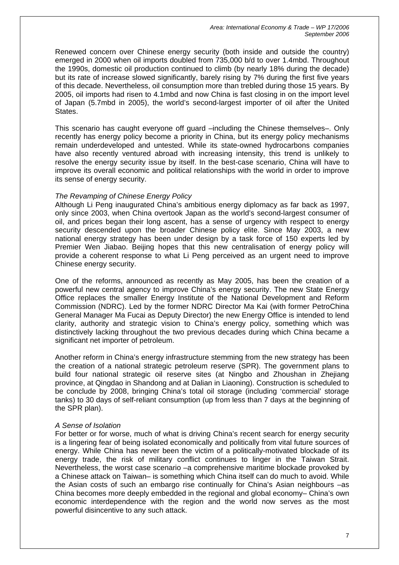Renewed concern over Chinese energy security (both inside and outside the country) emerged in 2000 when oil imports doubled from 735,000 b/d to over 1.4mbd. Throughout the 1990s, domestic oil production continued to climb (by nearly 18% during the decade) but its rate of increase slowed significantly, barely rising by 7% during the first five years of this decade. Nevertheless, oil consumption more than trebled during those 15 years. By 2005, oil imports had risen to 4.1mbd and now China is fast closing in on the import level of Japan (5.7mbd in 2005), the world's second-largest importer of oil after the United States.

This scenario has caught everyone off guard –including the Chinese themselves–. Only recently has energy policy become a priority in China, but its energy policy mechanisms remain underdeveloped and untested. While its state-owned hydrocarbons companies have also recently ventured abroad with increasing intensity, this trend is unlikely to resolve the energy security issue by itself. In the best-case scenario, China will have to improve its overall economic and political relationships with the world in order to improve its sense of energy security.

#### *The Revamping of Chinese Energy Policy*

Although Li Peng inaugurated China's ambitious energy diplomacy as far back as 1997, only since 2003, when China overtook Japan as the world's second-largest consumer of oil, and prices began their long ascent, has a sense of urgency with respect to energy security descended upon the broader Chinese policy elite. Since May 2003, a new national energy strategy has been under design by a task force of 150 experts led by Premier Wen Jiabao. Beijing hopes that this new centralisation of energy policy will provide a coherent response to what Li Peng perceived as an urgent need to improve Chinese energy security.

One of the reforms, announced as recently as May 2005, has been the creation of a powerful new central agency to improve China's energy security. The new State Energy Office replaces the smaller Energy Institute of the National Development and Reform Commission (NDRC). Led by the former NDRC Director Ma Kai (with former PetroChina General Manager Ma Fucai as Deputy Director) the new Energy Office is intended to lend clarity, authority and strategic vision to China's energy policy, something which was distinctively lacking throughout the two previous decades during which China became a significant net importer of petroleum.

Another reform in China's energy infrastructure stemming from the new strategy has been the creation of a national strategic petroleum reserve (SPR). The government plans to build four national strategic oil reserve sites (at Ningbo and Zhoushan in Zhejiang province, at Qingdao in Shandong and at Dalian in Liaoning). Construction is scheduled to be conclude by 2008, bringing China's total oil storage (including 'commercial' storage tanks) to 30 days of self-reliant consumption (up from less than 7 days at the beginning of the SPR plan).

#### *A Sense of Isolation*

For better or for worse, much of what is driving China's recent search for energy security is a lingering fear of being isolated economically and politically from vital future sources of energy. While China has never been the victim of a politically-motivated blockade of its energy trade, the risk of military conflict continues to linger in the Taiwan Strait. Nevertheless, the worst case scenario –a comprehensive maritime blockade provoked by a Chinese attack on Taiwan– is something which China itself can do much to avoid. While the Asian costs of such an embargo rise continually for China's Asian neighbours –as China becomes more deeply embedded in the regional and global economy– China's own economic interdependence with the region and the world now serves as the most powerful disincentive to any such attack.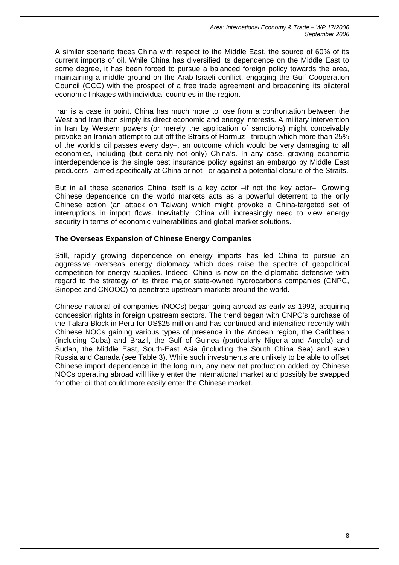A similar scenario faces China with respect to the Middle East, the source of 60% of its current imports of oil. While China has diversified its dependence on the Middle East to some degree, it has been forced to pursue a balanced foreign policy towards the area, maintaining a middle ground on the Arab-Israeli conflict, engaging the Gulf Cooperation Council (GCC) with the prospect of a free trade agreement and broadening its bilateral economic linkages with individual countries in the region.

Iran is a case in point. China has much more to lose from a confrontation between the West and Iran than simply its direct economic and energy interests. A military intervention in Iran by Western powers (or merely the application of sanctions) might conceivably provoke an Iranian attempt to cut off the Straits of Hormuz –through which more than 25% of the world's oil passes every day–, an outcome which would be very damaging to all economies, including (but certainly not only) China's. In any case, growing economic interdependence is the single best insurance policy against an embargo by Middle East producers –aimed specifically at China or not– or against a potential closure of the Straits.

But in all these scenarios China itself is a key actor –if not the key actor–. Growing Chinese dependence on the world markets acts as a powerful deterrent to the only Chinese action (an attack on Taiwan) which might provoke a China-targeted set of interruptions in import flows. Inevitably, China will increasingly need to view energy security in terms of economic vulnerabilities and global market solutions.

## **The Overseas Expansion of Chinese Energy Companies**

Still, rapidly growing dependence on energy imports has led China to pursue an aggressive overseas energy diplomacy which does raise the spectre of geopolitical competition for energy supplies. Indeed, China is now on the diplomatic defensive with regard to the strategy of its three major state-owned hydrocarbons companies (CNPC, Sinopec and CNOOC) to penetrate upstream markets around the world.

Chinese national oil companies (NOCs) began going abroad as early as 1993, acquiring concession rights in foreign upstream sectors. The trend began with CNPC's purchase of the Talara Block in Peru for US\$25 million and has continued and intensified recently with Chinese NOCs gaining various types of presence in the Andean region, the Caribbean (including Cuba) and Brazil, the Gulf of Guinea (particularly Nigeria and Angola) and Sudan, the Middle East, South-East Asia (including the South China Sea) and even Russia and Canada (see Table 3). While such investments are unlikely to be able to offset Chinese import dependence in the long run, any new net production added by Chinese NOCs operating abroad will likely enter the international market and possibly be swapped for other oil that could more easily enter the Chinese market.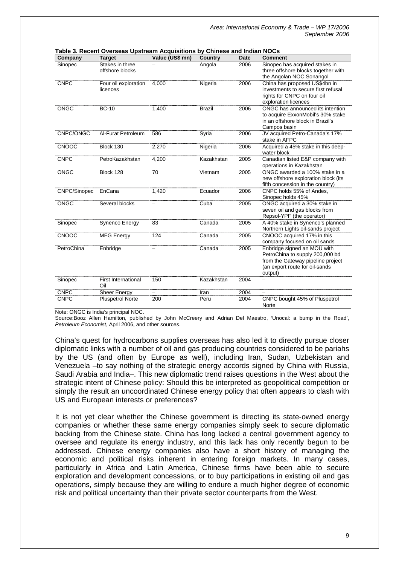| Company      | <b>Target</b>                      | Value (US\$ mn) | <b>Country</b> | Date | <b>Comment</b>                                                                                                                                   |
|--------------|------------------------------------|-----------------|----------------|------|--------------------------------------------------------------------------------------------------------------------------------------------------|
| Sinopec      | Stakes in three<br>offshore blocks |                 | Angola         | 2006 | Sinopec has acquired stakes in<br>three offshore blocks together with<br>the Angolan NOC Sonangol                                                |
| <b>CNPC</b>  | Four oil exploration<br>licences   | 4,000           | Nigeria        | 2006 | China has proposed US\$4bn in<br>investments to secure first refusal<br>rights for CNPC on four oil<br>exploration licences                      |
| <b>ONGC</b>  | <b>BC-10</b>                       | 1,400           | <b>Brazil</b>  | 2006 | ONGC has announced its intention<br>to acquire ExxonMobil's 30% stake<br>in an offshore block in Brazil's<br>Campos basin                        |
| CNPC/ONGC    | Al-Furat Petroleum                 | 586             | Syria          | 2006 | JV acquired Petro-Canada's 17%<br>stake in AFPC                                                                                                  |
| <b>CNOOC</b> | Block 130                          | 2,270           | Nigeria        | 2006 | Acquired a 45% stake in this deep-<br>water block                                                                                                |
| <b>CNPC</b>  | PetroKazakhstan                    | 4,200           | Kazakhstan     | 2005 | Canadian listed E&P company with<br>operations in Kazakhstan                                                                                     |
| <b>ONGC</b>  | Block 128                          | 70              | Vietnam        | 2005 | ONGC awarded a 100% stake in a<br>new offshore exploration block (its<br>fifth concession in the country)                                        |
| CNPC/Sinopec | EnCana                             | 1,420           | Ecuador        | 2006 | CNPC holds 55% of Andes.<br>Sinopec holds 45%                                                                                                    |
| <b>ONGC</b>  | Several blocks                     |                 | Cuba           | 2005 | ONGC acquired a 30% stake in<br>seven oil and gas blocks from<br>Repsol-YPF (the operator)                                                       |
| Sinopec      | Synenco Energy                     | 83              | Canada         | 2005 | A 40% stake in Synenco's planned<br>Northern Lights oil-sands project                                                                            |
| <b>CNOOC</b> | <b>MEG Energy</b>                  | 124             | Canada         | 2005 | CNOOC acquired 17% in this<br>company focused on oil sands                                                                                       |
| PetroChina   | Enbridge                           |                 | Canada         | 2005 | Enbridge signed an MOU with<br>PetroChina to supply 200,000 bd<br>from the Gateway pipeline project<br>(an export route for oil-sands<br>output) |
| Sinopec      | <b>First International</b><br>Oil  | 150             | Kazakhstan     | 2004 |                                                                                                                                                  |
| <b>CNPC</b>  | <b>Sheer Energy</b>                |                 | Iran           | 2004 |                                                                                                                                                  |
| <b>CNPC</b>  | <b>Pluspetrol Norte</b>            | 200             | Peru           | 2004 | CNPC bought 45% of Pluspetrol<br>Norte                                                                                                           |

**Table 3. Recent Overseas Upstream Acquisitions by Chinese and Indian NOCs** 

Note: ONGC is India's principal NOC.

Source:Booz Allen Hamilton, published by John McCreery and Adrian Del Maestro, 'Unocal: a bump in the Road', *Petroleum Economist*, April 2006, and other sources.

China's quest for hydrocarbons supplies overseas has also led it to directly pursue closer diplomatic links with a number of oil and gas producing countries considered to be pariahs by the US (and often by Europe as well), including Iran, Sudan, Uzbekistan and Venezuela –to say nothing of the strategic energy accords signed by China with Russia, Saudi Arabia and India–. This new diplomatic trend raises questions in the West about the strategic intent of Chinese policy: Should this be interpreted as geopolitical competition or simply the result an uncoordinated Chinese energy policy that often appears to clash with US and European interests or preferences?

It is not yet clear whether the Chinese government is directing its state-owned energy companies or whether these same energy companies simply seek to secure diplomatic backing from the Chinese state. China has long lacked a central government agency to oversee and regulate its energy industry, and this lack has only recently begun to be addressed. Chinese energy companies also have a short history of managing the economic and political risks inherent in entering foreign markets. In many cases, particularly in Africa and Latin America, Chinese firms have been able to secure exploration and development concessions, or to buy participations in existing oil and gas operations, simply because they are willing to endure a much higher degree of economic risk and political uncertainty than their private sector counterparts from the West.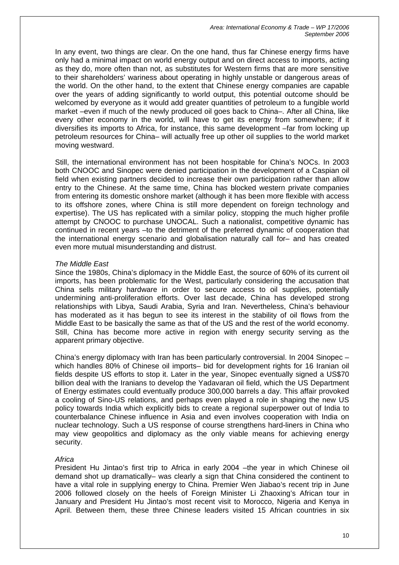In any event, two things are clear. On the one hand, thus far Chinese energy firms have only had a minimal impact on world energy output and on direct access to imports, acting as they do, more often than not, as substitutes for Western firms that are more sensitive to their shareholders' wariness about operating in highly unstable or dangerous areas of the world. On the other hand, to the extent that Chinese energy companies are capable over the years of adding significantly to world output, this potential outcome should be welcomed by everyone as it would add greater quantities of petroleum to a fungible world market –even if much of the newly produced oil goes back to China–. After all China, like every other economy in the world, will have to get its energy from somewhere; if it diversifies its imports to Africa, for instance, this same development –far from locking up petroleum resources for China– will actually free up other oil supplies to the world market moving westward.

Still, the international environment has not been hospitable for China's NOCs. In 2003 both CNOOC and Sinopec were denied participation in the development of a Caspian oil field when existing partners decided to increase their own participation rather than allow entry to the Chinese. At the same time, China has blocked western private companies from entering its domestic onshore market (although it has been more flexible with access to its offshore zones, where China is still more dependent on foreign technology and expertise). The US has replicated with a similar policy, stopping the much higher profile attempt by CNOOC to purchase UNOCAL. Such a nationalist, competitive dynamic has continued in recent years –to the detriment of the preferred dynamic of cooperation that the international energy scenario and globalisation naturally call for– and has created even more mutual misunderstanding and distrust.

#### *The Middle East*

Since the 1980s, China's diplomacy in the Middle East, the source of 60% of its current oil imports, has been problematic for the West, particularly considering the accusation that China sells military hardware in order to secure access to oil supplies, potentially undermining anti-proliferation efforts. Over last decade, China has developed strong relationships with Libya, Saudi Arabia, Syria and Iran. Nevertheless, China's behaviour has moderated as it has begun to see its interest in the stability of oil flows from the Middle East to be basically the same as that of the US and the rest of the world economy. Still, China has become more active in region with energy security serving as the apparent primary objective.

China's energy diplomacy with Iran has been particularly controversial. In 2004 Sinopec – which handles 80% of Chinese oil imports– bid for development rights for 16 Iranian oil fields despite US efforts to stop it. Later in the year, Sinopec eventually signed a US\$70 billion deal with the Iranians to develop the Yadavaran oil field, which the US Department of Energy estimates could eventually produce 300,000 barrels a day. This affair provoked a cooling of Sino-US relations, and perhaps even played a role in shaping the new US policy towards India which explicitly bids to create a regional superpower out of India to counterbalance Chinese influence in Asia and even involves cooperation with India on nuclear technology. Such a US response of course strengthens hard-liners in China who may view geopolitics and diplomacy as the only viable means for achieving energy security.

## *Africa*

President Hu Jintao's first trip to Africa in early 2004 –the year in which Chinese oil demand shot up dramatically– was clearly a sign that China considered the continent to have a vital role in supplying energy to China. Premier Wen Jiabao's recent trip in June 2006 followed closely on the heels of Foreign Minister Li Zhaoxing's African tour in January and President Hu Jintao's most recent visit to Morocco, Nigeria and Kenya in April. Between them, these three Chinese leaders visited 15 African countries in six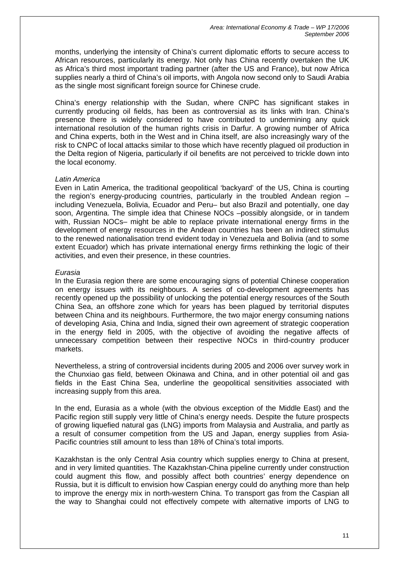months, underlying the intensity of China's current diplomatic efforts to secure access to African resources, particularly its energy. Not only has China recently overtaken the UK as Africa's third most important trading partner (after the US and France), but now Africa supplies nearly a third of China's oil imports, with Angola now second only to Saudi Arabia as the single most significant foreign source for Chinese crude.

China's energy relationship with the Sudan, where CNPC has significant stakes in currently producing oil fields, has been as controversial as its links with Iran. China's presence there is widely considered to have contributed to undermining any quick international resolution of the human rights crisis in Darfur. A growing number of Africa and China experts, both in the West and in China itself, are also increasingly wary of the risk to CNPC of local attacks similar to those which have recently plagued oil production in the Delta region of Nigeria, particularly if oil benefits are not perceived to trickle down into the local economy.

#### *Latin America*

Even in Latin America, the traditional geopolitical 'backyard' of the US, China is courting the region's energy-producing countries, particularly in the troubled Andean region – including Venezuela, Bolivia, Ecuador and Peru– but also Brazil and potentially, one day soon, Argentina. The simple idea that Chinese NOCs –possibly alongside, or in tandem with, Russian NOCs– might be able to replace private international energy firms in the development of energy resources in the Andean countries has been an indirect stimulus to the renewed nationalisation trend evident today in Venezuela and Bolivia (and to some extent Ecuador) which has private international energy firms rethinking the logic of their activities, and even their presence, in these countries.

#### *Eurasia*

In the Eurasia region there are some encouraging signs of potential Chinese cooperation on energy issues with its neighbours. A series of co-development agreements has recently opened up the possibility of unlocking the potential energy resources of the South China Sea, an offshore zone which for years has been plagued by territorial disputes between China and its neighbours. Furthermore, the two major energy consuming nations of developing Asia, China and India, signed their own agreement of strategic cooperation in the energy field in 2005, with the objective of avoiding the negative affects of unnecessary competition between their respective NOCs in third-country producer markets.

Nevertheless, a string of controversial incidents during 2005 and 2006 over survey work in the Chunxiao gas field, between Okinawa and China, and in other potential oil and gas fields in the East China Sea, underline the geopolitical sensitivities associated with increasing supply from this area.

In the end, Eurasia as a whole (with the obvious exception of the Middle East) and the Pacific region still supply very little of China's energy needs. Despite the future prospects of growing liquefied natural gas (LNG) imports from Malaysia and Australia, and partly as a result of consumer competition from the US and Japan, energy supplies from Asia-Pacific countries still amount to less than 18% of China's total imports.

Kazakhstan is the only Central Asia country which supplies energy to China at present, and in very limited quantities. The Kazakhstan-China pipeline currently under construction could augment this flow, and possibly affect both countries' energy dependence on Russia, but it is difficult to envision how Caspian energy could do anything more than help to improve the energy mix in north-western China. To transport gas from the Caspian all the way to Shanghai could not effectively compete with alternative imports of LNG to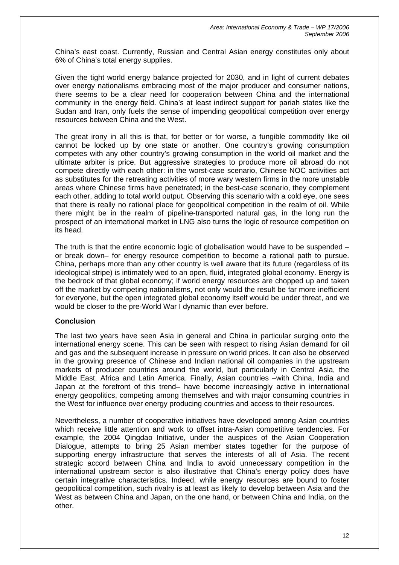China's east coast. Currently, Russian and Central Asian energy constitutes only about 6% of China's total energy supplies.

Given the tight world energy balance projected for 2030, and in light of current debates over energy nationalisms embracing most of the major producer and consumer nations, there seems to be a clear need for cooperation between China and the international community in the energy field. China's at least indirect support for pariah states like the Sudan and Iran, only fuels the sense of impending geopolitical competition over energy resources between China and the West.

The great irony in all this is that, for better or for worse, a fungible commodity like oil cannot be locked up by one state or another. One country's growing consumption competes with any other country's growing consumption in the world oil market and the ultimate arbiter is price. But aggressive strategies to produce more oil abroad do not compete directly with each other: in the worst-case scenario, Chinese NOC activities act as substitutes for the retreating activities of more wary western firms in the more unstable areas where Chinese firms have penetrated; in the best-case scenario, they complement each other, adding to total world output. Observing this scenario with a cold eye, one sees that there is really no rational place for geopolitical competition in the realm of oil. While there might be in the realm of pipeline-transported natural gas, in the long run the prospect of an international market in LNG also turns the logic of resource competition on its head.

The truth is that the entire economic logic of globalisation would have to be suspended  $$ or break down– for energy resource competition to become a rational path to pursue. China, perhaps more than any other country is well aware that its future (regardless of its ideological stripe) is intimately wed to an open, fluid, integrated global economy. Energy is the bedrock of that global economy; if world energy resources are chopped up and taken off the market by competing nationalisms, not only would the result be far more inefficient for everyone, but the open integrated global economy itself would be under threat, and we would be closer to the pre-World War I dynamic than ever before.

#### **Conclusion**

The last two years have seen Asia in general and China in particular surging onto the international energy scene. This can be seen with respect to rising Asian demand for oil and gas and the subsequent increase in pressure on world prices. It can also be observed in the growing presence of Chinese and Indian national oil companies in the upstream markets of producer countries around the world, but particularly in Central Asia, the Middle East, Africa and Latin America. Finally, Asian countries –with China, India and Japan at the forefront of this trend– have become increasingly active in international energy geopolitics, competing among themselves and with major consuming countries in the West for influence over energy producing countries and access to their resources.

Nevertheless, a number of cooperative initiatives have developed among Asian countries which receive little attention and work to offset intra-Asian competitive tendencies. For example, the 2004 Qingdao Initiative, under the auspices of the Asian Cooperation Dialogue, attempts to bring 25 Asian member states together for the purpose of supporting energy infrastructure that serves the interests of all of Asia. The recent strategic accord between China and India to avoid unnecessary competition in the international upstream sector is also illustrative that China's energy policy does have certain integrative characteristics. Indeed, while energy resources are bound to foster geopolitical competition, such rivalry is at least as likely to develop between Asia and the West as between China and Japan, on the one hand, or between China and India, on the other.